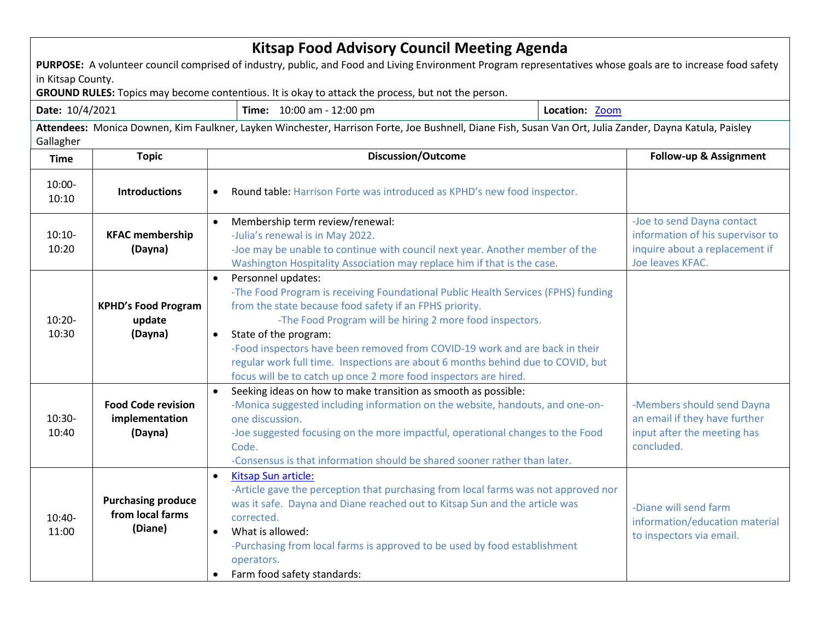| <b>Kitsap Food Advisory Council Meeting Agenda</b><br>PURPOSE: A volunteer council comprised of industry, public, and Food and Living Environment Program representatives whose goals are to increase food safety<br>in Kitsap County.<br>GROUND RULES: Topics may become contentious. It is okay to attack the process, but not the person. |                                                          |                                                                                                                                                                                                                                                                                                                                                                               |                                                                                                                                                                                                                                                                                                                                                                                                                                                |  |                                                                                                                      |  |  |  |
|----------------------------------------------------------------------------------------------------------------------------------------------------------------------------------------------------------------------------------------------------------------------------------------------------------------------------------------------|----------------------------------------------------------|-------------------------------------------------------------------------------------------------------------------------------------------------------------------------------------------------------------------------------------------------------------------------------------------------------------------------------------------------------------------------------|------------------------------------------------------------------------------------------------------------------------------------------------------------------------------------------------------------------------------------------------------------------------------------------------------------------------------------------------------------------------------------------------------------------------------------------------|--|----------------------------------------------------------------------------------------------------------------------|--|--|--|
| Date: 10/4/2021                                                                                                                                                                                                                                                                                                                              |                                                          |                                                                                                                                                                                                                                                                                                                                                                               | Time: 10:00 am - 12:00 pm<br>Location: Zoom                                                                                                                                                                                                                                                                                                                                                                                                    |  |                                                                                                                      |  |  |  |
| Attendees: Monica Downen, Kim Faulkner, Layken Winchester, Harrison Forte, Joe Bushnell, Diane Fish, Susan Van Ort, Julia Zander, Dayna Katula, Paisley<br>Gallagher                                                                                                                                                                         |                                                          |                                                                                                                                                                                                                                                                                                                                                                               |                                                                                                                                                                                                                                                                                                                                                                                                                                                |  |                                                                                                                      |  |  |  |
| <b>Time</b>                                                                                                                                                                                                                                                                                                                                  | <b>Topic</b>                                             | <b>Discussion/Outcome</b>                                                                                                                                                                                                                                                                                                                                                     |                                                                                                                                                                                                                                                                                                                                                                                                                                                |  | Follow-up & Assignment                                                                                               |  |  |  |
| 10:00-<br>10:10                                                                                                                                                                                                                                                                                                                              | <b>Introductions</b>                                     |                                                                                                                                                                                                                                                                                                                                                                               | Round table: Harrison Forte was introduced as KPHD's new food inspector.                                                                                                                                                                                                                                                                                                                                                                       |  |                                                                                                                      |  |  |  |
| $10:10-$<br>10:20                                                                                                                                                                                                                                                                                                                            | <b>KFAC membership</b><br>(Dayna)                        | Membership term review/renewal:<br>$\bullet$<br>-Julia's renewal is in May 2022.<br>-Joe may be unable to continue with council next year. Another member of the<br>Washington Hospitality Association may replace him if that is the case.                                                                                                                                   |                                                                                                                                                                                                                                                                                                                                                                                                                                                |  | -Joe to send Dayna contact<br>information of his supervisor to<br>inquire about a replacement if<br>Joe leaves KFAC. |  |  |  |
| $10:20 -$<br>10:30                                                                                                                                                                                                                                                                                                                           | <b>KPHD's Food Program</b><br>update<br>(Dayna)          | Personnel updates:<br>$\bullet$<br>State of the program:<br>$\bullet$                                                                                                                                                                                                                                                                                                         | -The Food Program is receiving Foundational Public Health Services (FPHS) funding<br>from the state because food safety if an FPHS priority.<br>-The Food Program will be hiring 2 more food inspectors.<br>-Food inspectors have been removed from COVID-19 work and are back in their<br>regular work full time. Inspections are about 6 months behind due to COVID, but<br>focus will be to catch up once 2 more food inspectors are hired. |  |                                                                                                                      |  |  |  |
| $10:30-$<br>10:40                                                                                                                                                                                                                                                                                                                            | <b>Food Code revision</b><br>implementation<br>(Dayna)   | Seeking ideas on how to make transition as smooth as possible:<br>-Monica suggested including information on the website, handouts, and one-on-<br>one discussion.<br>-Joe suggested focusing on the more impactful, operational changes to the Food<br>Code.<br>-Consensus is that information should be shared sooner rather than later.                                    |                                                                                                                                                                                                                                                                                                                                                                                                                                                |  | -Members should send Dayna<br>an email if they have further<br>input after the meeting has<br>concluded.             |  |  |  |
| 10:40-<br>11:00                                                                                                                                                                                                                                                                                                                              | <b>Purchasing produce</b><br>from local farms<br>(Diane) | Kitsap Sun article:<br>$\bullet$<br>-Article gave the perception that purchasing from local farms was not approved nor<br>was it safe. Dayna and Diane reached out to Kitsap Sun and the article was<br>corrected.<br>What is allowed:<br>$\bullet$<br>-Purchasing from local farms is approved to be used by food establishment<br>operators.<br>Farm food safety standards: |                                                                                                                                                                                                                                                                                                                                                                                                                                                |  | -Diane will send farm<br>information/education material<br>to inspectors via email.                                  |  |  |  |